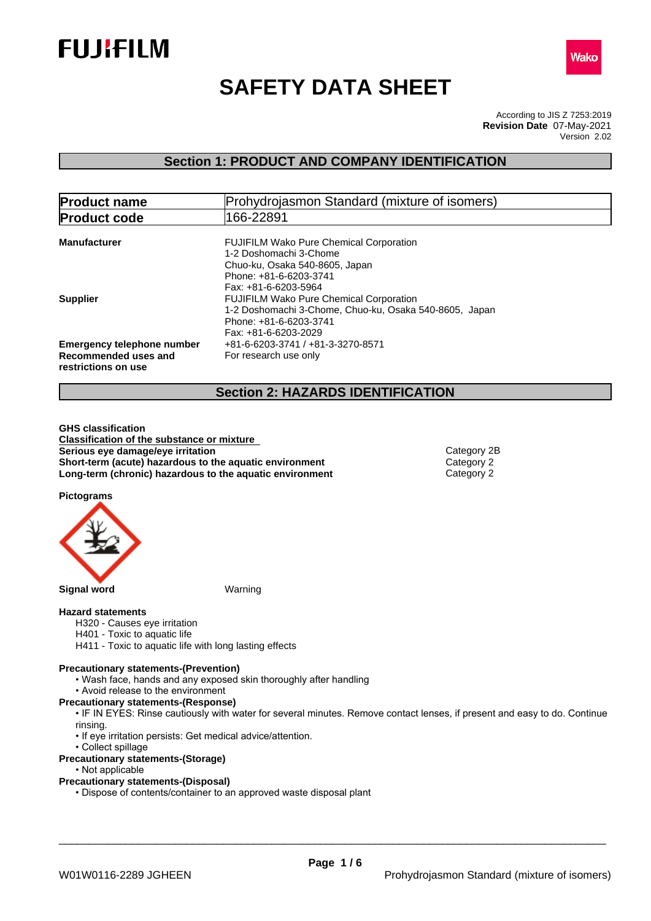



# **SAFETY DATA SHEET**

According to JIS Z 7253:2019 Version 2.02 **Revision Date** 07-May-2021

### **Section 1: PRODUCT AND COMPANY IDENTIFICATION**

| <b>Product name</b>                                                              | Prohydrojasmon Standard (mixture of isomers)                                                                                                                 |  |
|----------------------------------------------------------------------------------|--------------------------------------------------------------------------------------------------------------------------------------------------------------|--|
| <b>Product code</b>                                                              | 166-22891                                                                                                                                                    |  |
| <b>Manufacturer</b>                                                              | <b>FUJIFILM Wako Pure Chemical Corporation</b><br>1-2 Doshomachi 3-Chome<br>Chuo-ku, Osaka 540-8605, Japan<br>Phone: +81-6-6203-3741<br>Fax: +81-6-6203-5964 |  |
| <b>Supplier</b>                                                                  | <b>FUJIFILM Wako Pure Chemical Corporation</b><br>1-2 Doshomachi 3-Chome, Chuo-ku, Osaka 540-8605, Japan<br>Phone: +81-6-6203-3741<br>Fax: +81-6-6203-2029   |  |
| <b>Emergency telephone number</b><br>Recommended uses and<br>restrictions on use | +81-6-6203-3741 / +81-3-3270-8571<br>For research use only                                                                                                   |  |

### **Section 2: HAZARDS IDENTIFICATION**

**GHS classification Classification of the substance or mixture Serious** eye damage/eye irritation **Category 2B Category 2B Short-term (acute) hazardous to the aquatic environment** Category 2<br> **Long-term (chronic) hazardous to the aquatic environment** Category 2 **Long-term (chronic) hazardous to the aquatic environment** 

**Pictograms**



#### **Hazard statements**

- H320 Causes eye irritation
- H401 Toxic to aquatic life
- H411 Toxic to aquatic life with long lasting effects

#### **Precautionary statements-(Prevention)**

- Wash face, hands and any exposed skin thoroughly after handling
- Avoid release to the environment

**Precautionary statements-(Response)**

- IF IN EYES: Rinse cautiously with water for several minutes. Remove contact lenses, if present and easy to do. Continue rinsing.
- If eye irritation persists: Get medical advice/attention.
- Collect spillage
- **Precautionary statements-(Storage)**
	- Not applicable

### **Precautionary statements-(Disposal)**

• Dispose of contents/container to an approved waste disposal plant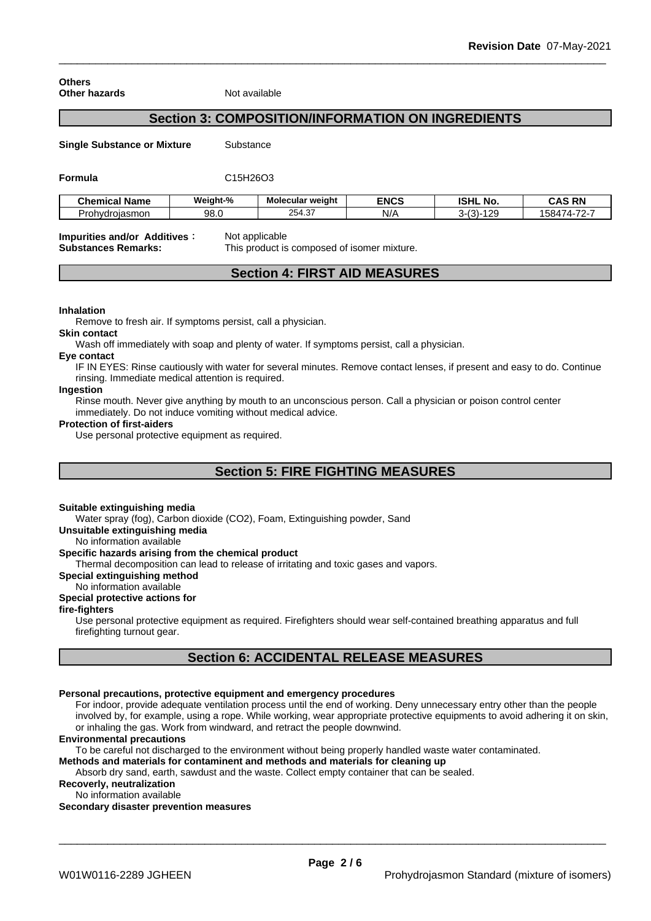#### **Others Other hazards** Not available

## **Section 3: COMPOSITION/INFORMATION ON INGREDIENTS**

**Single Substance or Mixture** Substance

**Formula** C15H26O3

| <b>Chemical Name</b>   | <br>Weight-% | Molecular weight        | <b>ENCS</b> | <b>ISHL</b><br>. NO. | <b>CAS RN</b><br>$\sim$                     |
|------------------------|--------------|-------------------------|-------------|----------------------|---------------------------------------------|
| rohvdrojasmon<br>Jrob. | 98.0         | ר י<br>$\sim$<br>254.37 | N/t         | 100<br>۱۰-۰          | $-70 -$<br>. .<br>™ 584.<br>,,,<br><i>.</i> |

## **Impurities and/or Additives:** Not applicable

**Substances Remarks:** This product is composed of isomer mixture.

### **Section 4: FIRST AID MEASURES**

#### **Inhalation**

Remove to fresh air. If symptoms persist, call a physician.

### **Skin contact**

Wash off immediately with soap and plenty of water. If symptoms persist, calla physician.

### **Eye contact**

IF IN EYES: Rinse cautiously with water forseveral minutes. Remove contact lenses, if present and easy to do. Continue rinsing. Immediate medical attention is required.

#### **Ingestion**

Rinse mouth. Never give anything by mouth to an unconscious person. Call a physician or poison control center immediately. Do not induce vomiting without medical advice.

### **Protection of first-aiders**

Use personal protective equipment as required.

### **Section 5: FIRE FIGHTING MEASURES**

### **Suitable extinguishing media**

Water spray (fog), Carbon dioxide (CO2), Foam, Extinguishing powder, Sand

**Unsuitable extinguishing media**

No information available

### **Specific hazards arising from the chemical product**

Thermal decomposition can lead to release of irritating and toxic gases and vapors.

**Special extinguishing method**

### No information available

### **Special protective actions for**

**fire-fighters**

Use personal protective equipment as required.Firefighters should wear self-contained breathing apparatus and full firefighting turnout gear.

### **Section 6: ACCIDENTAL RELEASE MEASURES**

#### **Personal precautions, protective equipment and emergency procedures**

For indoor, provide adequate ventilation process until the end of working. Deny unnecessary entry other than the people involved by, for example, using a rope. While working, wear appropriate protective equipments to avoid adhering it on skin, or inhaling the gas. Work from windward, and retract the people downwind.

### **Environmental precautions**

To be careful not discharged to the environment without being properly handled waste water contaminated.

**Methods and materials for contaminent and methods and materials for cleaning up**

Absorb dry sand, earth, sawdust and the waste. Collect empty container that can be sealed.

**Recoverly, neutralization** No information available

### **Secondary disaster prevention measures**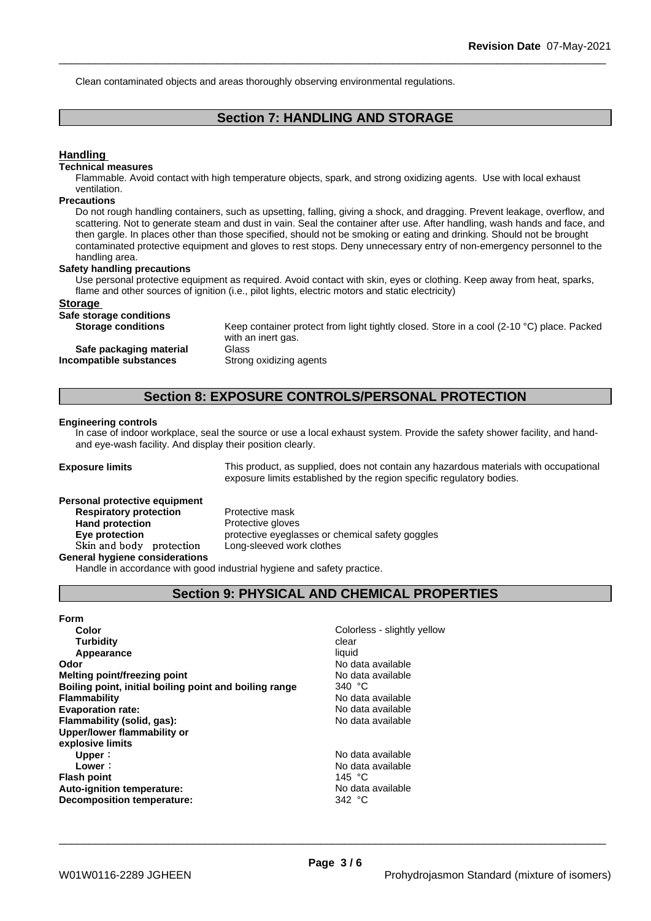Clean contaminated objects and areas thoroughly observing environmental regulations.

### **Section 7: HANDLING AND STORAGE**

### **Handling**

### **Technical measures**

Flammable. Avoid contact with high temperature objects, spark, and strong oxidizing agents. Use with local exhaust ventilation.

#### **Precautions**

Do not rough handling containers, such as upsetting, falling, giving a shock, and dragging. Prevent leakage, overflow, and scattering. Not to generate steam and dust in vain. Seal the container after use. After handling, wash hands and face, and then gargle. In places other than those specified, should not be smoking or eating and drinking. Should not be brought contaminated protective equipment and gloves to rest stops. Deny unnecessary entry of non-emergency personnel to the handling area.

#### **Safety handling precautions**

Use personal protective equipment as required. Avoid contact with skin, eyes or clothing. Keep away from heat, sparks, flame and other sources of ignition (i.e., pilot lights, electric motors and static electricity)

#### **Storage**

#### **Safe storage conditions**

**Storage conditions** Keep container protect from light tightly closed. Store in a cool (2-10 °C) place. Packed with an inert gas. **Safe packaging material** Glass **Incompatible substances** Strong oxidizing agents

### **Section 8: EXPOSURE CONTROLS/PERSONAL PROTECTION**

#### **Engineering controls**

In case of indoor workplace, seal the source or use a local exhaust system. Provide the safety shower facility, and handand eye-wash facility. And display their position clearly.

**Exposure limits** This product, as supplied, does not contain any hazardous materials with occupational exposure limits established by the region specific regulatory bodies.

### **Personal protective equipment**

**Respiratory protection** Protective mask **Hand protection** Protective gloves **Eye protection protective eyeglasses or chemical safety goggles Skinandbody protection** Long-sleeved work clothes

**General hygiene considerations**

Handle in accordance with good industrial hygiene and safety practice.

### **Section 9: PHYSICAL AND CHEMICAL PROPERTIES**

| Colorless - slightly yellow |
|-----------------------------|
| clear                       |
| liquid                      |
| No data available           |
| No data available           |
| 340 °C                      |
| No data available           |
| No data available           |
| No data available           |
|                             |
|                             |
| No data available           |
| No data available           |
| 145 $\degree$ C             |
| No data available           |
| 342 °C                      |
|                             |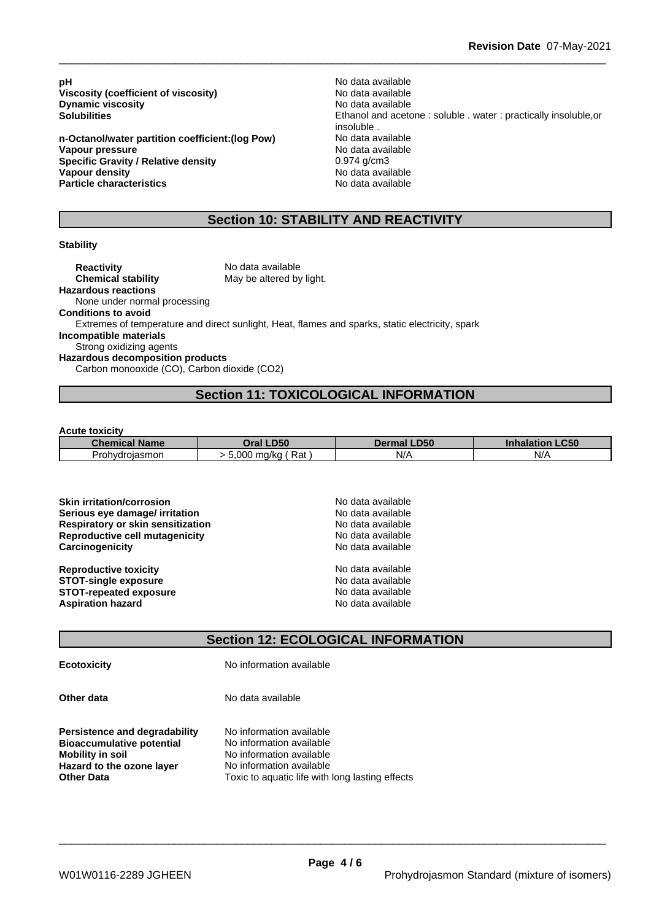**pH** No data available<br>Viscosity (coefficient of viscosity) No data available **Viscosity (coefficient of viscosity)** No data available<br> **Dynamic viscosity Dynamic viscosity Dynamic** viscosity

**n-Octanol/water partition coefficient:(log Pow) Vapour pressure**<br> **Specific Gravity / Relative density**<br> **Specific Gravity / Relative density**<br> **All Specific Gravity / Relative density**<br> **All Specific Gravity / Relative density Specific Gravity / Relative density Vapour density No data available Particle characteristics** No data available

**Solubilities** Ethanol and acetone : soluble . water : practically insoluble,or insoluble .<br>No data available

### **Section 10: STABILITY AND REACTIVITY**

#### **Stability**

**Reactivity** No data available **Chemical stability** May be altered by light. **Hazardous reactions** None under normal processing **Conditions to avoid** Extremes of temperature and direct sunlight, Heat, flames and sparks, static electricity, spark **Incompatible materials** Strong oxidizing agents **Hazardous decomposition products** Carbon monooxide (CO), Carbon dioxide (CO2)

### **Section 11: TOXICOLOGICAL INFORMATION**

**Acute toxicity**

| <b>Chemical Name</b> | Oral LD50                      | <b>LD50</b><br><b>Dermal</b> | .C50<br><b>Inhalation</b> |
|----------------------|--------------------------------|------------------------------|---------------------------|
| Prohydrojasmon       | -<br>$0.000 -$<br>Rat<br>ma/ka | $N/\Delta$<br>$\cdots$       | N/A                       |

| <b>Skin irritation/corrosion</b>         | No data available |
|------------------------------------------|-------------------|
| Serious eye damage/ irritation           | No data available |
| <b>Respiratory or skin sensitization</b> | No data available |
| Reproductive cell mutagenicity           | No data available |
| Carcinogenicity                          | No data available |
| <b>Reproductive toxicity</b>             | No data available |
| <b>STOT-single exposure</b>              | No data available |
| <b>STOT-repeated exposure</b>            | No data available |
| <b>Aspiration hazard</b>                 | No data available |

### **Section 12: ECOLOGICAL INFORMATION**

**Ecotoxicity** No information available

**Other data** No data available

**Persistence and degradability** No information available<br>**Bioaccumulative potential** No information available **Bioaccumulative potential Mobility** in soil **Mobility** in soil **No** information available **Hazard to the ozone layer** No information available<br> **Other Data** Toxic to aquatic life with

Toxic to aquatic life with long lasting effects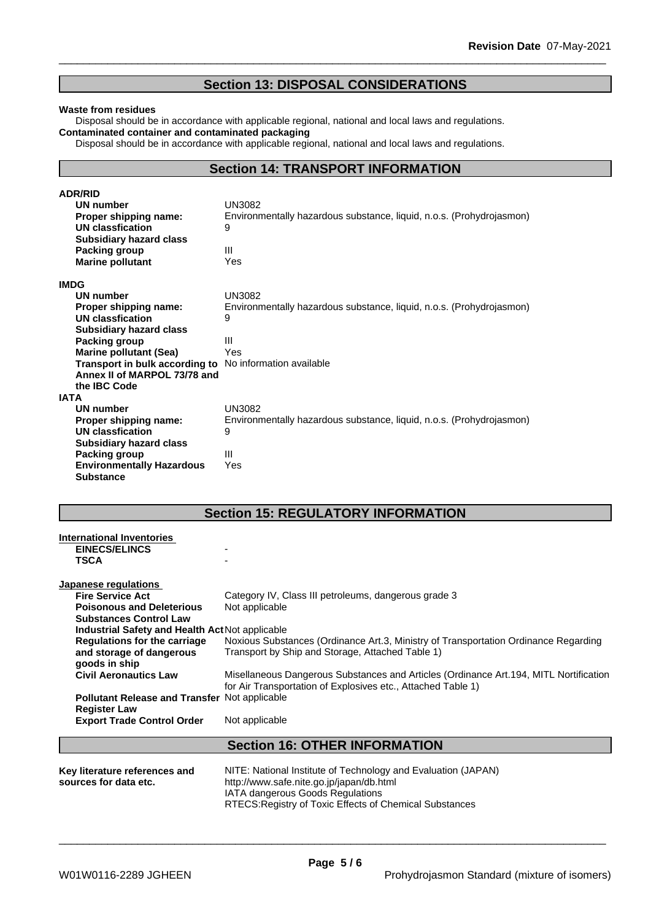### **Section 13: DISPOSAL CONSIDERATIONS**

#### **Waste from residues**

Disposal should be in accordance with applicable regional, national and local laws and regulations. **Contaminated container and contaminated packaging**

Disposal should be in accordance with applicable regional, national and local laws and regulations.

### **Section 14: TRANSPORT INFORMATION**

| <b>ADR/RID</b>                                                 |                                                                      |
|----------------------------------------------------------------|----------------------------------------------------------------------|
| <b>UN number</b>                                               | <b>UN3082</b>                                                        |
| Proper shipping name:                                          | Environmentally hazardous substance, liquid, n.o.s. (Prohydrojasmon) |
| UN classfication                                               | 9                                                                    |
| <b>Subsidiary hazard class</b>                                 |                                                                      |
| Packing group                                                  | Ш                                                                    |
| <b>Marine pollutant</b>                                        | Yes                                                                  |
| <b>IMDG</b>                                                    |                                                                      |
| UN number                                                      | <b>UN3082</b>                                                        |
| Proper shipping name:                                          | Environmentally hazardous substance, liquid, n.o.s. (Prohydrojasmon) |
| UN classfication                                               | 9                                                                    |
| <b>Subsidiary hazard class</b>                                 |                                                                      |
| <b>Packing group</b>                                           | Ш                                                                    |
| <b>Marine pollutant (Sea)</b>                                  | Yes                                                                  |
| <b>Transport in bulk according to</b> No information available |                                                                      |
| Annex II of MARPOL 73/78 and                                   |                                                                      |
| the IBC Code                                                   |                                                                      |
| <b>IATA</b>                                                    |                                                                      |
| <b>UN number</b>                                               | <b>UN3082</b>                                                        |
| Proper shipping name:                                          | Environmentally hazardous substance, liquid, n.o.s. (Prohydrojasmon) |
| <b>UN classfication</b>                                        | 9                                                                    |
| <b>Subsidiary hazard class</b>                                 |                                                                      |
| Packing group                                                  | Ш                                                                    |
| <b>Environmentally Hazardous</b>                               | Yes                                                                  |
| <b>Substance</b>                                               |                                                                      |

### **Section 15: REGULATORY INFORMATION**

| Key literature references and<br>sources for data etc.            | NITE: National Institute of Technology and Evaluation (JAPAN)<br>http://www.safe.nite.go.jp/japan/db.html                                              |
|-------------------------------------------------------------------|--------------------------------------------------------------------------------------------------------------------------------------------------------|
|                                                                   | <b>Section 16: OTHER INFORMATION</b>                                                                                                                   |
| <b>Register Law</b><br><b>Export Trade Control Order</b>          | Not applicable                                                                                                                                         |
| <b>Pollutant Release and Transfer Not applicable</b>              |                                                                                                                                                        |
| <b>Civil Aeronautics Law</b>                                      | Misellaneous Dangerous Substances and Articles (Ordinance Art. 194, MITL Nortification<br>for Air Transportation of Explosives etc., Attached Table 1) |
| and storage of dangerous<br>goods in ship                         | Transport by Ship and Storage, Attached Table 1)                                                                                                       |
| <b>Regulations for the carriage</b>                               | Noxious Substances (Ordinance Art.3, Ministry of Transportation Ordinance Regarding                                                                    |
| Industrial Safety and Health Act Not applicable                   |                                                                                                                                                        |
| <b>Poisonous and Deleterious</b><br><b>Substances Control Law</b> | Not applicable                                                                                                                                         |
| <b>Fire Service Act</b>                                           | Category IV, Class III petroleums, dangerous grade 3                                                                                                   |
| Japanese regulations                                              |                                                                                                                                                        |
| <b>TSCA</b>                                                       |                                                                                                                                                        |
| <b>EINECS/ELINCS</b>                                              |                                                                                                                                                        |